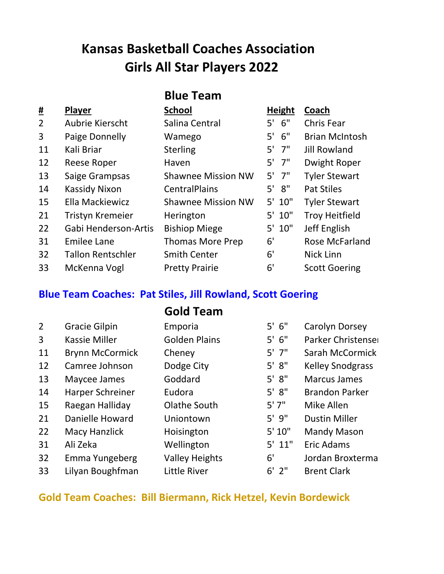# **Kansas Basketball Coaches Association Girls All Star Players 2022**

## **Blue Team**

| <u>#</u>       | <b>Player</b>               | <b>School</b>             | <b>Height</b> | Coach                 |
|----------------|-----------------------------|---------------------------|---------------|-----------------------|
| $\overline{2}$ | Aubrie Kierscht             | Salina Central            | 6"<br>5'      | <b>Chris Fear</b>     |
| 3              | Paige Donnelly              | Wamego                    | 6"<br>5'      | <b>Brian McIntosh</b> |
| 11             | Kali Briar                  | <b>Sterling</b>           | $5'$ $7''$    | <b>Jill Rowland</b>   |
| 12             | <b>Reese Roper</b>          | Haven                     | $5'$ $7''$    | <b>Dwight Roper</b>   |
| 13             | Saige Grampsas              | <b>Shawnee Mission NW</b> | $5'$ $7''$    | <b>Tyler Stewart</b>  |
| 14             | <b>Kassidy Nixon</b>        | <b>CentralPlains</b>      | 8"<br>5'      | <b>Pat Stiles</b>     |
| 15             | Ella Mackiewicz             | <b>Shawnee Mission NW</b> | $5'$ 10"      | <b>Tyler Stewart</b>  |
| 21             | <b>Tristyn Kremeier</b>     | Herington                 | 5' 10"        | <b>Troy Heitfield</b> |
| 22             | <b>Gabi Henderson-Artis</b> | <b>Bishiop Miege</b>      | 5' 10"        | Jeff English          |
| 31             | <b>Emilee Lane</b>          | <b>Thomas More Prep</b>   | 6'            | <b>Rose McFarland</b> |
| 32             | <b>Tallon Rentschler</b>    | <b>Smith Center</b>       | 6'            | <b>Nick Linn</b>      |
| 33             | McKenna Vogl                | <b>Pretty Prairie</b>     | 6'            | <b>Scott Goering</b>  |

#### **Blue Team Coaches: Pat Stiles, Jill Rowland, Scott Goering**

### **Gold Team**

| $\overline{2}$ | <b>Gracie Gilpin</b>   | Emporia               | $5'$ 6"    | Carolyn Dorsey          |
|----------------|------------------------|-----------------------|------------|-------------------------|
| 3              | <b>Kassie Miller</b>   | <b>Golden Plains</b>  | $5'$ 6"    | Parker Christenser      |
| 11             | <b>Brynn McCormick</b> | Cheney                | $5'$ $7''$ | Sarah McCormick         |
| 12             | Camree Johnson         | Dodge City            | $5' 8''$   | <b>Kelley Snodgrass</b> |
| 13             | Maycee James           | Goddard               | $5'$ $8"$  | <b>Marcus James</b>     |
| 14             | Harper Schreiner       | Eudora                | $5'$ $8"$  | <b>Brandon Parker</b>   |
| 15             | Raegan Halliday        | Olathe South          | 5'7''      | Mike Allen              |
| 21             | Danielle Howard        | Uniontown             | $5'$ $9''$ | <b>Dustin Miller</b>    |
| 22             | Macy Hanzlick          | Hoisington            | 5' 10''    | <b>Mandy Mason</b>      |
| 31             | Ali Zeka               | Wellington            | $5'$ $11"$ | Eric Adams              |
| 32             | Emma Yungeberg         | <b>Valley Heights</b> | 6'         | Jordan Broxterma        |
| 33             | Lilyan Boughfman       | Little River          | 2"<br>6'   | <b>Brent Clark</b>      |

#### **Gold Team Coaches: Bill Biermann, Rick Hetzel, Kevin Bordewick**